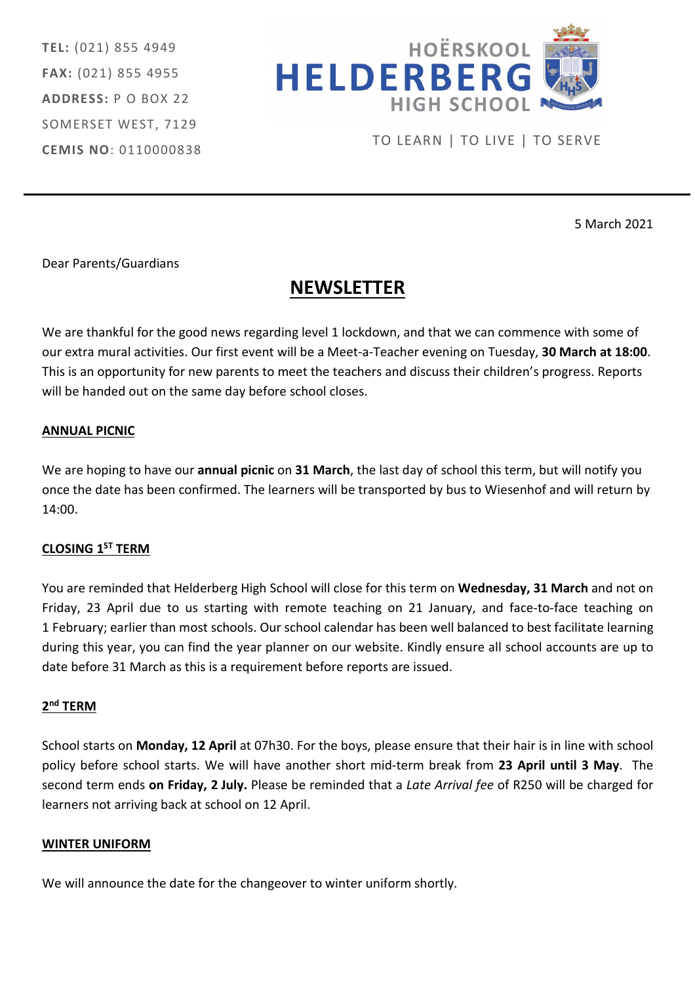TEL: (021) 855 4949 FAX: (021) 855 4955 ADDRESS: P O BOX 22 SOMERSET WEST, 7129 CEMIS NO: 0110000838



TO LEARN | TO LIVE | TO SERVE

5 March 2021

Dear Parents/Guardians

# **NEWSLETTER**

We are thankful for the good news regarding level 1 lockdown, and that we can commence with some of our extra mural activities. Our first event will be a Meet-a-Teacher evening on Tuesday, 30 March at 18:00. This is an opportunity for new parents to meet the teachers and discuss their children's progress. Reports will be handed out on the same day before school closes.

## ANNUAL PICNIC

We are hoping to have our annual picnic on 31 March, the last day of school this term, but will notify you once the date has been confirmed. The learners will be transported by bus to Wiesenhof and will return by 14:00.

# CLOSING 1ST TERM

You are reminded that Helderberg High School will close for this term on Wednesday, 31 March and not on Friday, 23 April due to us starting with remote teaching on 21 January, and face-to-face teaching on 1 February; earlier than most schools. Our school calendar has been well balanced to best facilitate learning during this year, you can find the year planner on our website. Kindly ensure all school accounts are up to date before 31 March as this is a requirement before reports are issued.

## 2<sup>nd</sup> TERM

School starts on Monday, 12 April at 07h30. For the boys, please ensure that their hair is in line with school policy before school starts. We will have another short mid-term break from 23 April until 3 May. The second term ends on Friday, 2 July. Please be reminded that a Late Arrival fee of R250 will be charged for learners not arriving back at school on 12 April.

## WINTER UNIFORM

We will announce the date for the changeover to winter uniform shortly.